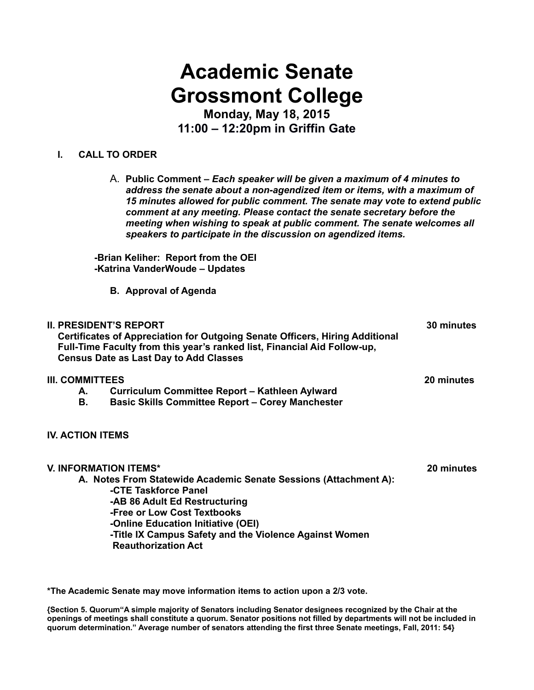# **Academic Senate Grossmont College**

**Monday, May 18, 2015 11:00 – 12:20pm in Griffin Gate**

#### **I. CALL TO ORDER**

A. **Public Comment –** *Each speaker will be given a maximum of 4 minutes to address the senate about a non-agendized item or items, with a maximum of 15 minutes allowed for public comment. The senate may vote to extend public comment at any meeting. Please contact the senate secretary before the meeting when wishing to speak at public comment. The senate welcomes all speakers to participate in the discussion on agendized items.*

**-Brian Keliher: Report from the OEI -Katrina VanderWoude – Updates**

**B. Approval of Agenda**

## **II. PRESIDENT'S REPORT 30 minutes Certificates of Appreciation for Outgoing Senate Officers, Hiring Additional Full-Time Faculty from this year's ranked list, Financial Aid Follow-up, Census Date as Last Day to Add Classes**

#### **III. COMMITTEES 20 minutes**

- **A. Curriculum Committee Report Kathleen Aylward**
- **Basic Skills Committee Report Corey Manchester**

#### **IV. ACTION ITEMS**

#### **V. INFORMATION ITEMS\* 20 minutes**

**A. Notes From Statewide Academic Senate Sessions (Attachment A): -CTE Taskforce Panel -AB 86 Adult Ed Restructuring -Free or Low Cost Textbooks -Online Education Initiative (OEI) -Title IX Campus Safety and the Violence Against Women Reauthorization Act** 

**\*The Academic Senate may move information items to action upon a 2/3 vote.**

**{Section 5. Quorum"A simple majority of Senators including Senator designees recognized by the Chair at the openings of meetings shall constitute a quorum. Senator positions not filled by departments will not be included in quorum determination." Average number of senators attending the first three Senate meetings, Fall, 2011: 54}**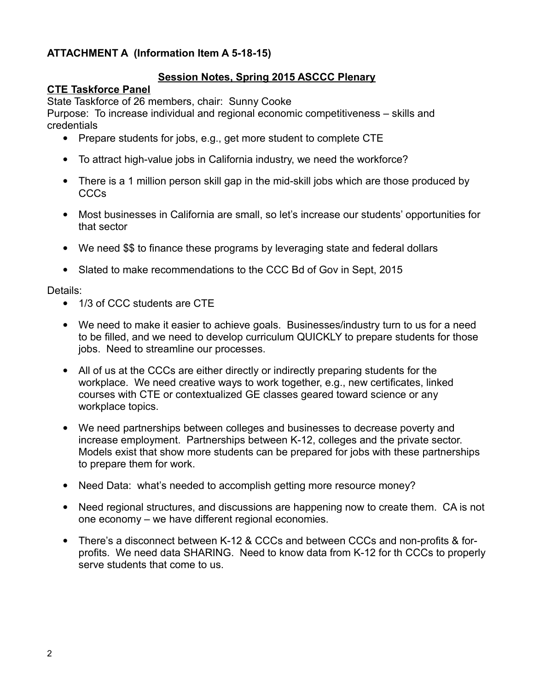## **ATTACHMENT A (Information Item A 5-18-15)**

## **Session Notes, Spring 2015 ASCCC Plenary**

## **CTE Taskforce Panel**

State Taskforce of 26 members, chair: Sunny Cooke

Purpose: To increase individual and regional economic competitiveness – skills and credentials

- Prepare students for jobs, e.g., get more student to complete CTE
- To attract high-value jobs in California industry, we need the workforce?
- There is a 1 million person skill gap in the mid-skill jobs which are those produced by CCCs
- Most businesses in California are small, so let's increase our students' opportunities for that sector
- We need \$\$ to finance these programs by leveraging state and federal dollars
- Slated to make recommendations to the CCC Bd of Gov in Sept, 2015

Details:

- 1/3 of CCC students are CTE
- We need to make it easier to achieve goals. Businesses/industry turn to us for a need to be filled, and we need to develop curriculum QUICKLY to prepare students for those jobs. Need to streamline our processes.
- All of us at the CCCs are either directly or indirectly preparing students for the workplace. We need creative ways to work together, e.g., new certificates, linked courses with CTE or contextualized GE classes geared toward science or any workplace topics.
- We need partnerships between colleges and businesses to decrease poverty and increase employment. Partnerships between K-12, colleges and the private sector. Models exist that show more students can be prepared for jobs with these partnerships to prepare them for work.
- Need Data: what's needed to accomplish getting more resource money?
- Need regional structures, and discussions are happening now to create them. CA is not one economy – we have different regional economies.
- There's a disconnect between K-12 & CCCs and between CCCs and non-profits & forprofits. We need data SHARING. Need to know data from K-12 for th CCCs to properly serve students that come to us.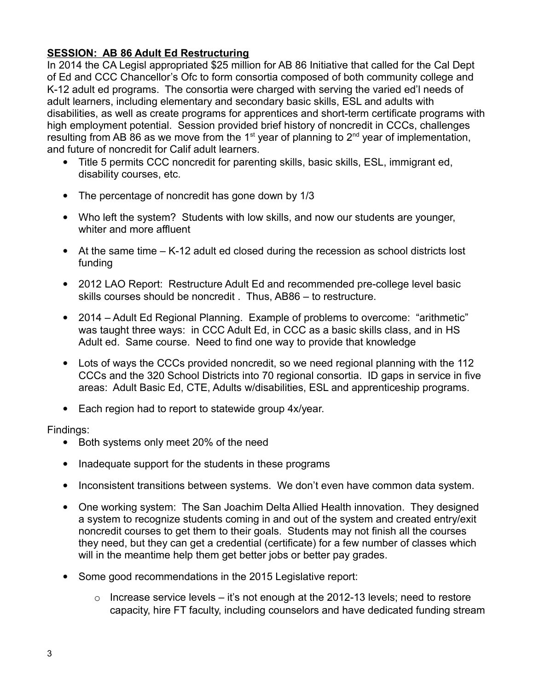## **SESSION: AB 86 Adult Ed Restructuring**

In 2014 the CA Legisl appropriated \$25 million for AB 86 Initiative that called for the Cal Dept of Ed and CCC Chancellor's Ofc to form consortia composed of both community college and K-12 adult ed programs. The consortia were charged with serving the varied ed'l needs of adult learners, including elementary and secondary basic skills, ESL and adults with disabilities, as well as create programs for apprentices and short-term certificate programs with high employment potential. Session provided brief history of noncredit in CCCs, challenges resulting from AB 86 as we move from the 1<sup>st</sup> year of planning to  $2<sup>nd</sup>$  year of implementation, and future of noncredit for Calif adult learners.

- Title 5 permits CCC noncredit for parenting skills, basic skills, ESL, immigrant ed, disability courses, etc.
- The percentage of noncredit has gone down by 1/3
- Who left the system? Students with low skills, and now our students are younger, whiter and more affluent
- At the same time K-12 adult ed closed during the recession as school districts lost funding
- 2012 LAO Report: Restructure Adult Ed and recommended pre-college level basic skills courses should be noncredit . Thus, AB86 – to restructure.
- 2014 Adult Ed Regional Planning. Example of problems to overcome: "arithmetic" was taught three ways: in CCC Adult Ed, in CCC as a basic skills class, and in HS Adult ed. Same course. Need to find one way to provide that knowledge
- Lots of ways the CCCs provided noncredit, so we need regional planning with the 112 CCCs and the 320 School Districts into 70 regional consortia. ID gaps in service in five areas: Adult Basic Ed, CTE, Adults w/disabilities, ESL and apprenticeship programs.
- Each region had to report to statewide group 4x/year.

## Findings:

- Both systems only meet 20% of the need
- Inadequate support for the students in these programs
- Inconsistent transitions between systems. We don't even have common data system.
- One working system: The San Joachim Delta Allied Health innovation. They designed a system to recognize students coming in and out of the system and created entry/exit noncredit courses to get them to their goals. Students may not finish all the courses they need, but they can get a credential (certificate) for a few number of classes which will in the meantime help them get better jobs or better pay grades.
- Some good recommendations in the 2015 Legislative report:
	- $\circ$  Increase service levels it's not enough at the 2012-13 levels; need to restore capacity, hire FT faculty, including counselors and have dedicated funding stream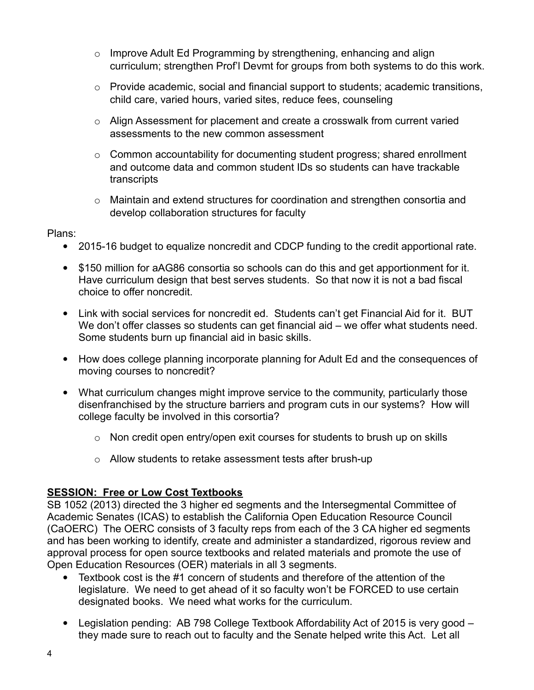- $\circ$  Improve Adult Ed Programming by strengthening, enhancing and align curriculum; strengthen Prof'l Devmt for groups from both systems to do this work.
- o Provide academic, social and financial support to students; academic transitions, child care, varied hours, varied sites, reduce fees, counseling
- o Align Assessment for placement and create a crosswalk from current varied assessments to the new common assessment
- $\circ$  Common accountability for documenting student progress; shared enrollment and outcome data and common student IDs so students can have trackable **transcripts**
- o Maintain and extend structures for coordination and strengthen consortia and develop collaboration structures for faculty

Plans:

- 2015-16 budget to equalize noncredit and CDCP funding to the credit apportional rate.
- \$150 million for aAG86 consortia so schools can do this and get apportionment for it. Have curriculum design that best serves students. So that now it is not a bad fiscal choice to offer noncredit.
- Link with social services for noncredit ed. Students can't get Financial Aid for it. BUT We don't offer classes so students can get financial aid – we offer what students need. Some students burn up financial aid in basic skills.
- How does college planning incorporate planning for Adult Ed and the consequences of moving courses to noncredit?
- What curriculum changes might improve service to the community, particularly those disenfranchised by the structure barriers and program cuts in our systems? How will college faculty be involved in this corsortia?
	- o Non credit open entry/open exit courses for students to brush up on skills
	- o Allow students to retake assessment tests after brush-up

# **SESSION: Free or Low Cost Textbooks**

SB 1052 (2013) directed the 3 higher ed segments and the Intersegmental Committee of Academic Senates (ICAS) to establish the California Open Education Resource Council (CaOERC) The OERC consists of 3 faculty reps from each of the 3 CA higher ed segments and has been working to identify, create and administer a standardized, rigorous review and approval process for open source textbooks and related materials and promote the use of Open Education Resources (OER) materials in all 3 segments.

- Textbook cost is the #1 concern of students and therefore of the attention of the legislature. We need to get ahead of it so faculty won't be FORCED to use certain designated books. We need what works for the curriculum.
- Legislation pending: AB 798 College Textbook Affordability Act of 2015 is very good they made sure to reach out to faculty and the Senate helped write this Act. Let all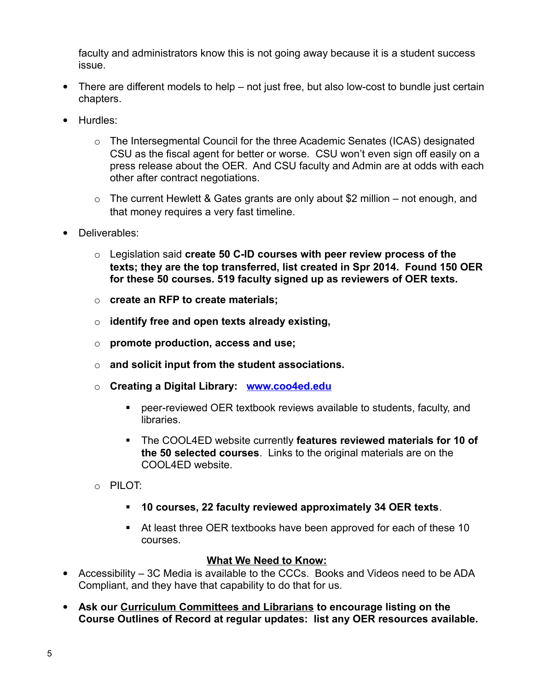faculty and administrators know this is not going away because it is a student success issue.

- There are different models to help not just free, but also low-cost to bundle just certain chapters.
- Hurdles:
	- o The Intersegmental Council for the three Academic Senates (ICAS) designated CSU as the fiscal agent for better or worse. CSU won't even sign off easily on a press release about the OER. And CSU faculty and Admin are at odds with each other after contract negotiations.
	- $\circ$  The current Hewlett & Gates grants are only about \$2 million not enough, and that money requires a very fast timeline.
- Deliverables:
	- o Legislation said **create 50 C-ID courses with peer review process of the texts; they are the top transferred, list created in Spr 2014. Found 150 OER for these 50 courses. 519 faculty signed up as reviewers of OER texts.**
	- o **create an RFP to create materials;**
	- o **identify free and open texts already existing,**
	- o **promote production, access and use;**
	- o **and solicit input from the student associations.**
	- o **Creating a Digital Library: [www.coo4ed.edu](http://www.coo4ed.edu/)**
		- peer-reviewed OER textbook reviews available to students, faculty, and libraries.
		- The COOL4ED website currently **features reviewed materials for 10 of the 50 selected courses**. Links to the original materials are on the COOL4ED website.
	- o PILOT:
		- **10 courses, 22 faculty reviewed approximately 34 OER texts**.
		- At least three OER textbooks have been approved for each of these 10 courses.

#### **What We Need to Know:**

- Accessibility 3C Media is available to the CCCs. Books and Videos need to be ADA Compliant, and they have that capability to do that for us.
- **Ask our Curriculum Committees and Librarians to encourage listing on the Course Outlines of Record at regular updates: list any OER resources available.**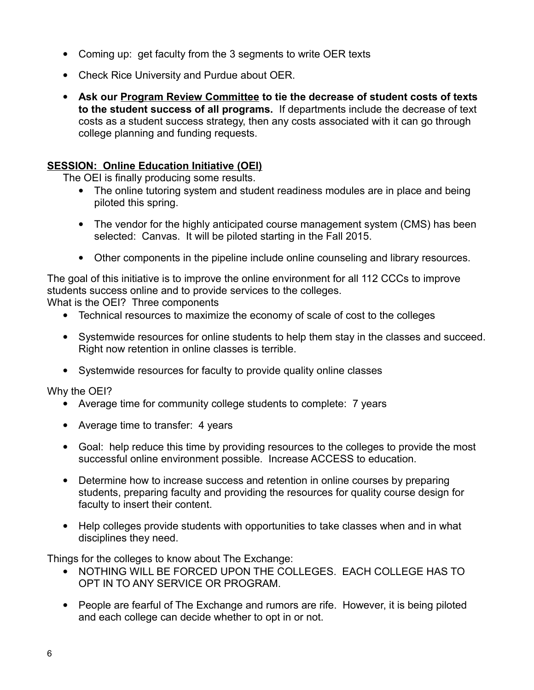- Coming up: get faculty from the 3 segments to write OER texts
- Check Rice University and Purdue about OER.
- **Ask our Program Review Committee to tie the decrease of student costs of texts to the student success of all programs.** If departments include the decrease of text costs as a student success strategy, then any costs associated with it can go through college planning and funding requests.

#### **SESSION: Online Education Initiative (OEI)**

The OEI is finally producing some results.

- The online tutoring system and student readiness modules are in place and being piloted this spring.
- The vendor for the highly anticipated course management system (CMS) has been selected: Canvas. It will be piloted starting in the Fall 2015.
- Other components in the pipeline include online counseling and library resources.

The goal of this initiative is to improve the online environment for all 112 CCCs to improve students success online and to provide services to the colleges.

What is the OEI? Three components

- Technical resources to maximize the economy of scale of cost to the colleges
- Systemwide resources for online students to help them stay in the classes and succeed. Right now retention in online classes is terrible.
- Systemwide resources for faculty to provide quality online classes

Why the OEI?

- Average time for community college students to complete: 7 years
- Average time to transfer: 4 years
- Goal: help reduce this time by providing resources to the colleges to provide the most successful online environment possible. Increase ACCESS to education.
- Determine how to increase success and retention in online courses by preparing students, preparing faculty and providing the resources for quality course design for faculty to insert their content.
- Help colleges provide students with opportunities to take classes when and in what disciplines they need.

Things for the colleges to know about The Exchange:

- NOTHING WILL BE FORCED UPON THE COLLEGES. EACH COLLEGE HAS TO OPT IN TO ANY SERVICE OR PROGRAM.
- People are fearful of The Exchange and rumors are rife. However, it is being piloted and each college can decide whether to opt in or not.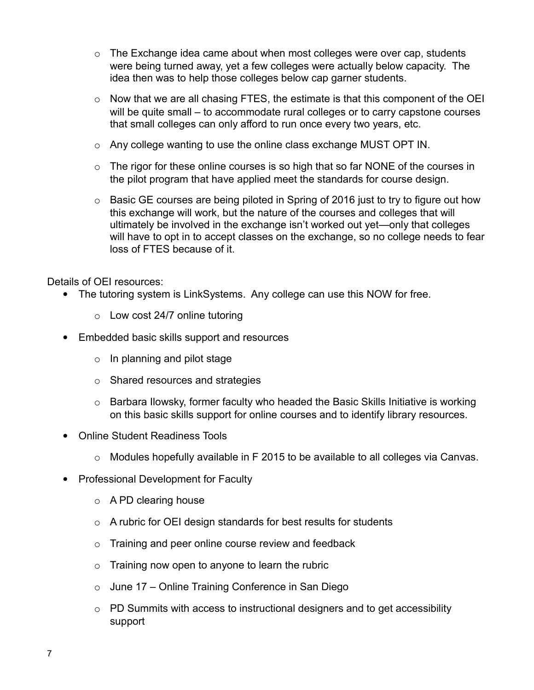- $\circ$  The Exchange idea came about when most colleges were over cap, students were being turned away, yet a few colleges were actually below capacity. The idea then was to help those colleges below cap garner students.
- o Now that we are all chasing FTES, the estimate is that this component of the OEI will be quite small – to accommodate rural colleges or to carry capstone courses that small colleges can only afford to run once every two years, etc.
- $\circ$  Any college wanting to use the online class exchange MUST OPT IN.
- $\circ$  The rigor for these online courses is so high that so far NONE of the courses in the pilot program that have applied meet the standards for course design.
- $\circ$  Basic GE courses are being piloted in Spring of 2016 just to try to figure out how this exchange will work, but the nature of the courses and colleges that will ultimately be involved in the exchange isn't worked out yet—only that colleges will have to opt in to accept classes on the exchange, so no college needs to fear loss of FTES because of it.

Details of OEI resources:

- The tutoring system is LinkSystems. Any college can use this NOW for free.
	- $\circ$  Low cost 24/7 online tutoring
- Embedded basic skills support and resources
	- $\circ$  In planning and pilot stage
	- o Shared resources and strategies
	- o Barbara Ilowsky, former faculty who headed the Basic Skills Initiative is working on this basic skills support for online courses and to identify library resources.
- Online Student Readiness Tools
	- o Modules hopefully available in F 2015 to be available to all colleges via Canvas.
- Professional Development for Faculty
	- $\circ$  A PD clearing house
	- o A rubric for OEI design standards for best results for students
	- $\circ$  Training and peer online course review and feedback
	- $\circ$  Training now open to anyone to learn the rubric
	- $\circ$  June 17 Online Training Conference in San Diego
	- o PD Summits with access to instructional designers and to get accessibility support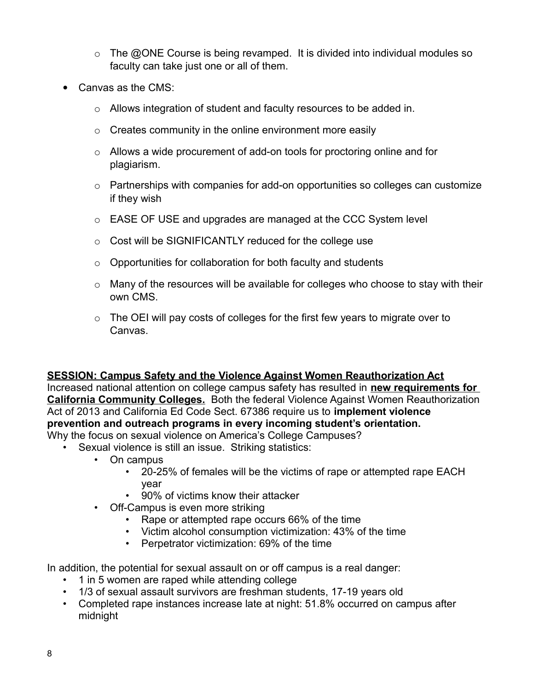- $\circ$  The @ONE Course is being revamped. It is divided into individual modules so faculty can take just one or all of them.
- Canvas as the CMS:
	- o Allows integration of student and faculty resources to be added in.
	- $\circ$  Creates community in the online environment more easily
	- o Allows a wide procurement of add-on tools for proctoring online and for plagiarism.
	- $\circ$  Partnerships with companies for add-on opportunities so colleges can customize if they wish
	- o EASE OF USE and upgrades are managed at the CCC System level
	- o Cost will be SIGNIFICANTLY reduced for the college use
	- $\circ$  Opportunities for collaboration for both faculty and students
	- $\circ$  Many of the resources will be available for colleges who choose to stay with their own CMS.
	- $\circ$  The OEI will pay costs of colleges for the first few years to migrate over to Canvas.

## **SESSION: Campus Safety and the Violence Against Women Reauthorization Act**

Increased national attention on college campus safety has resulted in **new requirements for California Community Colleges.** Both the federal Violence Against Women Reauthorization Act of 2013 and California Ed Code Sect. 67386 require us to **implement violence prevention and outreach programs in every incoming student's orientation.** Why the focus on sexual violence on America's College Campuses?

- Sexual violence is still an issue. Striking statistics:
	- On campus
		- 20-25% of females will be the victims of rape or attempted rape EACH year
		- 90% of victims know their attacker
	- Off-Campus is even more striking
		- Rape or attempted rape occurs 66% of the time
		- Victim alcohol consumption victimization: 43% of the time
		- Perpetrator victimization: 69% of the time

In addition, the potential for sexual assault on or off campus is a real danger:

- 1 in 5 women are raped while attending college
- 1/3 of sexual assault survivors are freshman students, 17-19 years old
- Completed rape instances increase late at night: 51.8% occurred on campus after midnight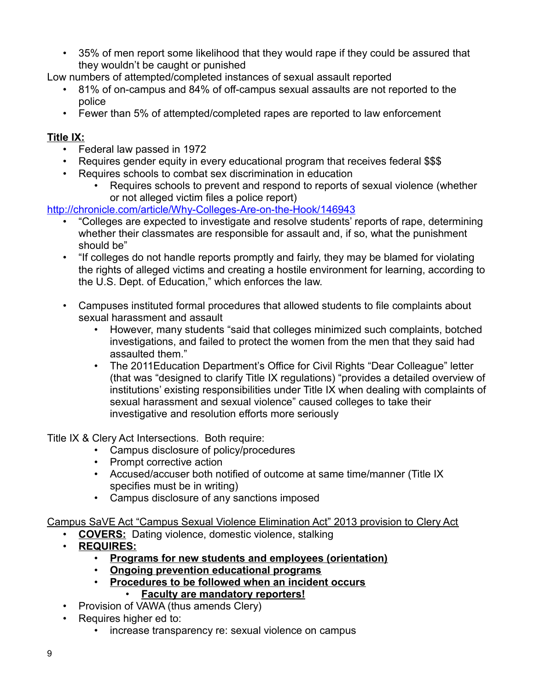• 35% of men report some likelihood that they would rape if they could be assured that they wouldn't be caught or punished

Low numbers of attempted/completed instances of sexual assault reported

- 81% of on-campus and 84% of off-campus sexual assaults are not reported to the police
- Fewer than 5% of attempted/completed rapes are reported to law enforcement

# **Title IX:**

- Federal law passed in 1972
- Requires gender equity in every educational program that receives federal \$\$\$
- Requires schools to combat sex discrimination in education
	- Requires schools to prevent and respond to reports of sexual violence (whether or not alleged victim files a police report)

<http://chronicle.com/article/Why-Colleges-Are-on-the-Hook/146943>

- "Colleges are expected to investigate and resolve students' reports of rape, determining whether their classmates are responsible for assault and, if so, what the punishment should be"
- "If colleges do not handle reports promptly and fairly, they may be blamed for violating the rights of alleged victims and creating a hostile environment for learning, according to the U.S. Dept. of Education," which enforces the law.
- Campuses instituted formal procedures that allowed students to file complaints about sexual harassment and assault
	- However, many students "said that colleges minimized such complaints, botched investigations, and failed to protect the women from the men that they said had assaulted them."
	- The 2011Education Department's Office for Civil Rights "Dear Colleague" letter (that was "designed to clarify Title IX regulations) "provides a detailed overview of institutions' existing responsibilities under Title IX when dealing with complaints of sexual harassment and sexual violence" caused colleges to take their investigative and resolution efforts more seriously

Title IX & Clery Act Intersections. Both require:

- Campus disclosure of policy/procedures
- Prompt corrective action
- Accused/accuser both notified of outcome at same time/manner (Title IX specifies must be in writing)
- Campus disclosure of any sanctions imposed

Campus SaVE Act "Campus Sexual Violence Elimination Act" 2013 provision to Clery Act

- **COVERS:** Dating violence, domestic violence, stalking
- **REQUIRES:**
	- **Programs for new students and employees (orientation)**
	- **Ongoing prevention educational programs**
	- **Procedures to be followed when an incident occurs**
		- **Faculty are mandatory reporters!**
- Provision of VAWA (thus amends Clery)
- Requires higher ed to:
	- increase transparency re: sexual violence on campus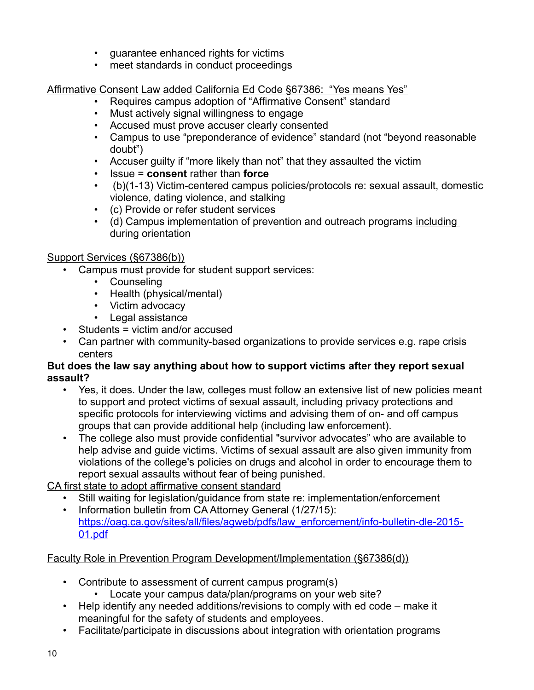- guarantee enhanced rights for victims
- meet standards in conduct proceedings

Affirmative Consent Law added California Ed Code §67386: "Yes means Yes"

- Requires campus adoption of "Affirmative Consent" standard
- Must actively signal willingness to engage
- Accused must prove accuser clearly consented
- Campus to use "preponderance of evidence" standard (not "beyond reasonable doubt")
- Accuser guilty if "more likely than not" that they assaulted the victim
- Issue = **consent** rather than **force**
- (b)(1-13) Victim-centered campus policies/protocols re: sexual assault, domestic violence, dating violence, and stalking
- (c) Provide or refer student services
- (d) Campus implementation of prevention and outreach programs including during orientation

# Support Services (§67386(b))

- Campus must provide for student support services:
	- Counseling
	- Health (physical/mental)
	- Victim advocacy
	- Legal assistance
- Students = victim and/or accused
- Can partner with community-based organizations to provide services e.g. rape crisis centers

## **But does the law say anything about how to support victims after they report sexual assault?**

- Yes, it does. Under the law, colleges must follow an extensive list of new policies meant to support and protect victims of sexual assault, including privacy protections and specific protocols for interviewing victims and advising them of on- and off campus groups that can provide additional help (including law enforcement).
- The college also must provide confidential "survivor advocates" who are available to help advise and guide victims. Victims of sexual assault are also given immunity from violations of the college's policies on drugs and alcohol in order to encourage them to report sexual assaults without fear of being punished.

CA first state to adopt affirmative consent standard

- Still waiting for legislation/guidance from state re: implementation/enforcement
- Information bulletin from CA Attorney General (1/27/15): [https://oag.ca.gov/sites/all/files/agweb/pdfs/law\\_enforcement/info-bulletin-dle-2015-](https://oag.ca.gov/sites/all/files/agweb/pdfs/law_enforcement/info-bulletin-dle-2015-01.pdf) [01.pdf](https://oag.ca.gov/sites/all/files/agweb/pdfs/law_enforcement/info-bulletin-dle-2015-01.pdf)

Faculty Role in Prevention Program Development/Implementation (§67386(d))

- Contribute to assessment of current campus program(s)
	- Locate your campus data/plan/programs on your web site?
- Help identify any needed additions/revisions to comply with ed code make it meaningful for the safety of students and employees.
- Facilitate/participate in discussions about integration with orientation programs